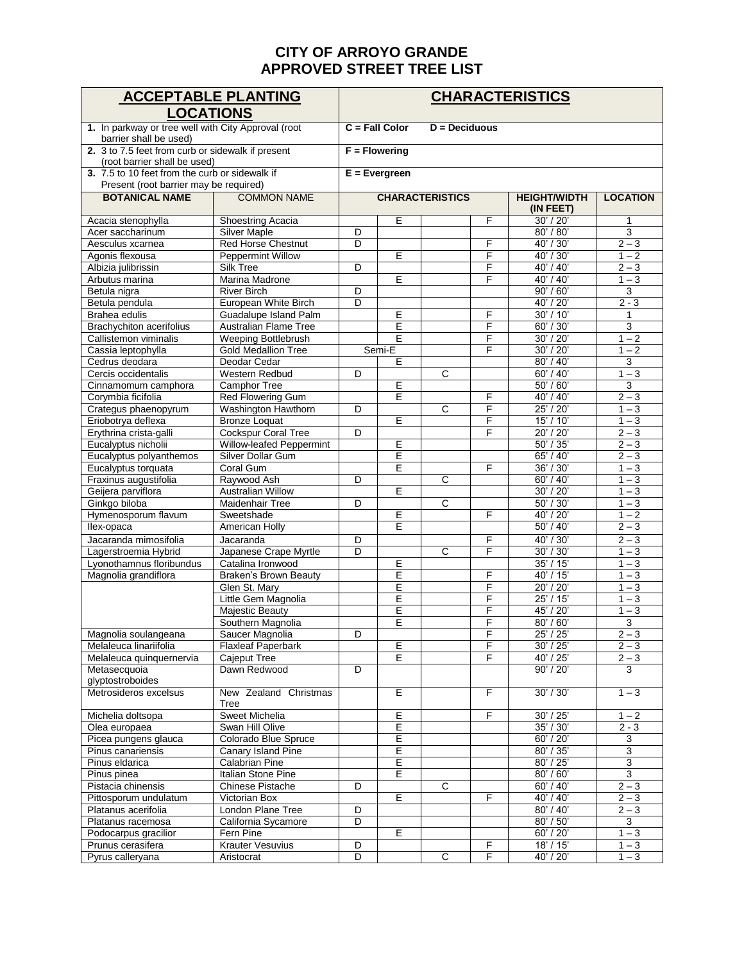## **CITY OF ARROYO GRANDE APPROVED STREET TREE LIST**

| <b>ACCEPTABLE PLANTING</b>                                                               |                                            | <b>CHARACTERISTICS</b> |                  |                        |                 |                        |                    |  |  |  |
|------------------------------------------------------------------------------------------|--------------------------------------------|------------------------|------------------|------------------------|-----------------|------------------------|--------------------|--|--|--|
| <b>LOCATIONS</b>                                                                         |                                            |                        |                  |                        |                 |                        |                    |  |  |  |
| 1. In parkway or tree well with City Approval (root                                      |                                            |                        | $C = Fall Color$ |                        | $D =$ Deciduous |                        |                    |  |  |  |
| barrier shall be used)                                                                   |                                            |                        |                  |                        |                 |                        |                    |  |  |  |
| 2. 3 to 7.5 feet from curb or sidewalk if present                                        |                                            |                        | $F =$ Flowering  |                        |                 |                        |                    |  |  |  |
| (root barrier shall be used)                                                             |                                            |                        |                  |                        |                 |                        |                    |  |  |  |
| 3. 7.5 to 10 feet from the curb or sidewalk if<br>Present (root barrier may be required) |                                            | $E =$ Evergreen        |                  |                        |                 |                        |                    |  |  |  |
| <b>BOTANICAL NAME</b>                                                                    | <b>COMMON NAME</b>                         |                        |                  | <b>CHARACTERISTICS</b> |                 | <b>HEIGHT/WIDTH</b>    | <b>LOCATION</b>    |  |  |  |
|                                                                                          |                                            |                        |                  |                        |                 | (IN FEET)              |                    |  |  |  |
| Acacia stenophylla                                                                       | <b>Shoestring Acacia</b>                   |                        | E                |                        | F               | 30' / 20'              | 1                  |  |  |  |
| Acer saccharinum                                                                         | <b>Silver Maple</b>                        | D                      |                  |                        |                 | 80' / 80'              | $\overline{3}$     |  |  |  |
| Aesculus xcarnea                                                                         | Red Horse Chestnut                         | D                      |                  |                        | F               | 40' / 30'              | $2 - 3$            |  |  |  |
| Agonis flexousa                                                                          | <b>Peppermint Willow</b><br>Silk Tree      | D                      | Ε                |                        | F<br>F          | 40' / 30'<br>40' / 40' | $1 - 2$<br>$2 - 3$ |  |  |  |
| Albizia julibrissin<br>Arbutus marina                                                    | Marina Madrone                             |                        | Έ                |                        | F               | 40' / 40'              | $1 - 3$            |  |  |  |
| Betula nigra                                                                             | <b>River Birch</b>                         | D                      |                  |                        |                 | 90' / 60'              | 3                  |  |  |  |
| Betula pendula                                                                           | European White Birch                       | D                      |                  |                        |                 | 40' / 20'              | $2 - 3$            |  |  |  |
| Brahea edulis                                                                            | Guadalupe Island Palm                      |                        | E                |                        | F               | 30' / 10'              | $\mathbf{1}$       |  |  |  |
| <b>Brachychiton acerifolius</b>                                                          | Australian Flame Tree                      |                        | Ε                |                        | F               | 60' / 30'              | $\overline{3}$     |  |  |  |
| Callistemon viminalis                                                                    | Weeping Bottlebrush                        |                        | E                |                        | F               | 30' / 20'              | $1 - 2$            |  |  |  |
| Cassia leptophylla                                                                       | <b>Gold Medallion Tree</b>                 |                        | Semi-E           |                        | F               | 30' / 20'              | $1 - 2$            |  |  |  |
| Cedrus deodara                                                                           | Deodar Cedar                               |                        | Е                |                        |                 | 80' / 40'              | 3                  |  |  |  |
| Cercis occidentalis                                                                      | Western Redbud                             | D                      |                  | $\overline{c}$         |                 | 60' / 40'              | $1 - 3$            |  |  |  |
| Cinnamomum camphora                                                                      | Camphor Tree                               |                        | Έ                |                        |                 | 50' / 60'              | 3                  |  |  |  |
| Corymbia ficifolia                                                                       | <b>Red Flowering Gum</b>                   |                        | Ε                |                        | F               | 40' / 40'              | $2 - 3$            |  |  |  |
| Crategus phaenopyrum                                                                     | Washington Hawthorn                        | D                      |                  | $\overline{c}$         | F               | 25' / 20'              | $1 - 3$            |  |  |  |
| Eriobotrya deflexa                                                                       | <b>Bronze Loquat</b>                       |                        | E                |                        | F               | 15' / 10'              | $1 - 3$            |  |  |  |
| Erythrina crista-galli                                                                   | <b>Cockspur Coral Tree</b>                 | D                      |                  |                        | F               | 20' / 20'              | $2 - 3$            |  |  |  |
| Eucalyptus nicholii                                                                      | Willow-leafed Peppermint                   |                        | E                |                        |                 | 50' / 35'              | $2 - 3$            |  |  |  |
| Eucalyptus polyanthemos                                                                  | Silver Dollar Gum                          |                        | E                |                        |                 | 65' / 40'              | $2 - 3$            |  |  |  |
| Eucalyptus torquata                                                                      | Coral Gum                                  |                        | E                |                        | F               | 36' / 30'              | $1 - 3$            |  |  |  |
| Fraxinus augustifolia                                                                    | Raywood Ash                                | D                      |                  | $\overline{\text{c}}$  |                 | 60' / 40'              | $1 - 3$            |  |  |  |
| Geijera parviflora                                                                       | <b>Australian Willow</b>                   |                        | E                |                        |                 | 30' / 20'              | $1 - 3$            |  |  |  |
| Ginkgo biloba                                                                            | Maidenhair Tree                            | D                      | Ε                | $\mathsf{C}$           | F               | 50' / 30'<br>40' / 20' | $1 - 3$<br>$1 - 2$ |  |  |  |
| Hymenosporum flavum<br>llex-opaca                                                        | Sweetshade<br>American Holly               |                        | Έ                |                        |                 | 50' / 40'              | $2 - 3$            |  |  |  |
| Jacaranda mimosifolia                                                                    |                                            |                        |                  |                        | $\overline{F}$  |                        | $2 - 3$            |  |  |  |
|                                                                                          | Jacaranda                                  | D<br>D                 |                  | $\overline{C}$         | F               | 40' / 30'<br>30' / 30' | $1 - 3$            |  |  |  |
| Lagerstroemia Hybrid<br>Lyonothamnus floribundus                                         | Japanese Crape Myrtle<br>Catalina Ironwood |                        | Ε                |                        |                 | 35' / 15'              | $1 - 3$            |  |  |  |
| Magnolia grandiflora                                                                     | Braken's Brown Beauty                      |                        | E                |                        | F               | 40' / 15'              | $1 - 3$            |  |  |  |
|                                                                                          | Glen St. Mary                              |                        | $\overline{E}$   |                        | F               | 20' / 20'              | $1 - 3$            |  |  |  |
|                                                                                          | Little Gem Magnolia                        |                        | Έ                |                        | F               | 25' / 15'              | $1 - 3$            |  |  |  |
|                                                                                          | <b>Majestic Beauty</b>                     |                        | E                |                        | F               | 45' / 20'              | $1 - 3$            |  |  |  |
|                                                                                          | Southern Magnolia                          |                        | Ē                |                        | F               | 80' / 60'              | 3                  |  |  |  |
| Magnolia soulangeana                                                                     | Saucer Magnolia                            | $\overline{D}$         |                  |                        | F               | 25' / 25'              | $2 - 3$            |  |  |  |
| Melaleuca linariifolia                                                                   | <b>Flaxleaf Paperbark</b>                  |                        | Е                |                        | F               | 30'/25'                | $2 - 3$            |  |  |  |
| Melaleuca quinquernervia                                                                 | Cajeput Tree                               |                        | Ε                |                        | F               | 40' / 25'              | $2 - 3$            |  |  |  |
| Metasecquoia                                                                             | Dawn Redwood                               | D                      |                  |                        |                 | 90' / 20'              | 3                  |  |  |  |
| glyptostroboides                                                                         |                                            |                        |                  |                        |                 |                        |                    |  |  |  |
| Metrosideros excelsus                                                                    | New Zealand Christmas<br>Tree              |                        | $\overline{E}$   |                        | F               | 30' / 30'              | $1 - 3$            |  |  |  |
| Michelia doltsopa                                                                        | Sweet Michelia                             |                        | $\overline{E}$   |                        | F               | 30' / 25'              | $1 - 2$            |  |  |  |
| Olea europaea                                                                            | Swan Hill Olive                            |                        | E                |                        |                 | 35' / 30'              | $2 - 3$            |  |  |  |
| Picea pungens glauca                                                                     | Colorado Blue Spruce                       |                        | E                |                        |                 | 60' / 20'              | 3                  |  |  |  |
| Pinus canariensis                                                                        | Canary Island Pine                         |                        | $\overline{E}$   |                        |                 | 80' / 35'              | $\overline{3}$     |  |  |  |
| Pinus eldarica                                                                           | Calabrian Pine                             |                        | E                |                        |                 | 80' / 25'              | 3                  |  |  |  |
| Pinus pinea                                                                              | Italian Stone Pine                         |                        | Ε                |                        |                 | 80' / 60'              | $\overline{3}$     |  |  |  |
| Pistacia chinensis                                                                       | Chinese Pistache                           | D                      |                  | $\overline{c}$         |                 | 60' / 40'              | $2 - 3$            |  |  |  |
| Pittosporum undulatum                                                                    | Victorian Box                              |                        | Ε                |                        | F               | 40' / 40'              | $2 - 3$            |  |  |  |
| Platanus acerifolia<br>Platanus racemosa                                                 | London Plane Tree<br>California Sycamore   | D<br>D                 |                  |                        |                 | 80' / 40'<br>80' / 50' | $2 - 3$<br>3       |  |  |  |
| Podocarpus gracilior                                                                     | Fern Pine                                  |                        | Ε                |                        |                 | 60' / 20'              | $1 - 3$            |  |  |  |
| Prunus cerasifera                                                                        | Krauter Vesuvius                           | D                      |                  |                        | F               | 18' / 15'              | $1 - 3$            |  |  |  |
| Pyrus calleryana                                                                         | Aristocrat                                 | D                      |                  | С                      | F               | 40' / 20'              | $1 - 3$            |  |  |  |
|                                                                                          |                                            |                        |                  |                        |                 |                        |                    |  |  |  |